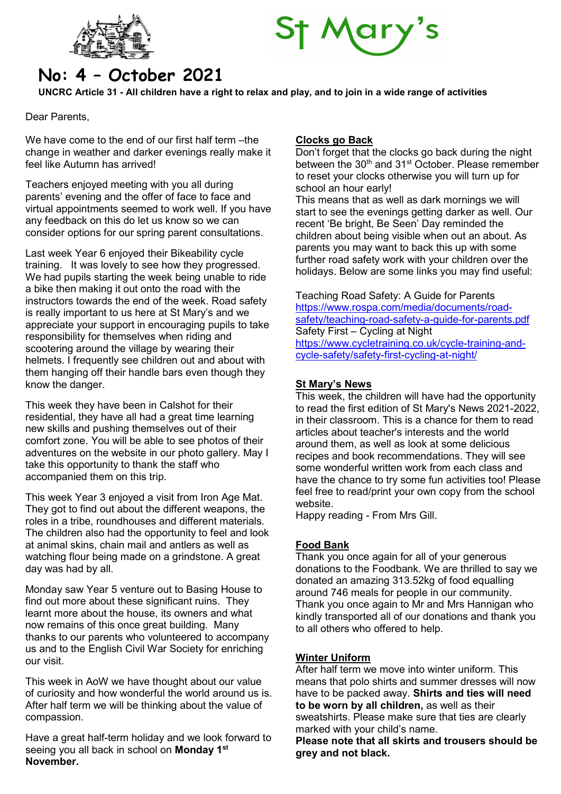



# No: 4 – October 2021

UNCRC Article 31 - All children have a right to relax and play, and to join in a wide range of activities

Dear Parents,

We have come to the end of our first half term –the change in weather and darker evenings really make it feel like Autumn has arrived!

Teachers enjoyed meeting with you all during parents' evening and the offer of face to face and virtual appointments seemed to work well. If you have any feedback on this do let us know so we can consider options for our spring parent consultations.

Last week Year 6 enjoyed their Bikeability cycle training. It was lovely to see how they progressed. We had pupils starting the week being unable to ride a bike then making it out onto the road with the instructors towards the end of the week. Road safety is really important to us here at St Mary's and we appreciate your support in encouraging pupils to take responsibility for themselves when riding and scootering around the village by wearing their helmets. I frequently see children out and about with them hanging off their handle bars even though they know the danger.

This week they have been in Calshot for their residential, they have all had a great time learning new skills and pushing themselves out of their comfort zone. You will be able to see photos of their adventures on the website in our photo gallery. May I take this opportunity to thank the staff who accompanied them on this trip.

This week Year 3 enjoyed a visit from Iron Age Mat. They got to find out about the different weapons, the roles in a tribe, roundhouses and different materials. The children also had the opportunity to feel and look at animal skins, chain mail and antlers as well as watching flour being made on a grindstone. A great day was had by all.

Monday saw Year 5 venture out to Basing House to find out more about these significant ruins. They learnt more about the house, its owners and what now remains of this once great building. Many thanks to our parents who volunteered to accompany us and to the English Civil War Society for enriching our visit.

This week in AoW we have thought about our value of curiosity and how wonderful the world around us is. After half term we will be thinking about the value of compassion.

Have a great half-term holiday and we look forward to seeing you all back in school on Monday 1st November.

# Clocks go Back

Don't forget that the clocks go back during the night between the 30<sup>th</sup> and 31<sup>st</sup> October. Please remember to reset your clocks otherwise you will turn up for school an hour early!

This means that as well as dark mornings we will start to see the evenings getting darker as well. Our recent 'Be bright, Be Seen' Day reminded the children about being visible when out an about. As parents you may want to back this up with some further road safety work with your children over the holidays. Below are some links you may find useful:

Teaching Road Safety: A Guide for Parents https://www.rospa.com/media/documents/roadsafety/teaching-road-safety-a-guide-for-parents.pdf Safety First – Cycling at Night https://www.cycletraining.co.uk/cycle-training-andcycle-safety/safety-first-cycling-at-night/

# St Mary's News

This week, the children will have had the opportunity to read the first edition of St Mary's News 2021-2022, in their classroom. This is a chance for them to read articles about teacher's interests and the world around them, as well as look at some delicious recipes and book recommendations. They will see some wonderful written work from each class and have the chance to try some fun activities too! Please feel free to read/print your own copy from the school website.

Happy reading - From Mrs Gill.

# Food Bank

Thank you once again for all of your generous donations to the Foodbank. We are thrilled to say we donated an amazing 313.52kg of food equalling around 746 meals for people in our community. Thank you once again to Mr and Mrs Hannigan who kindly transported all of our donations and thank you to all others who offered to help.

# Winter Uniform

After half term we move into winter uniform. This means that polo shirts and summer dresses will now have to be packed away. Shirts and ties will need to be worn by all children, as well as their sweatshirts. Please make sure that ties are clearly marked with your child's name.

Please note that all skirts and trousers should be grey and not black.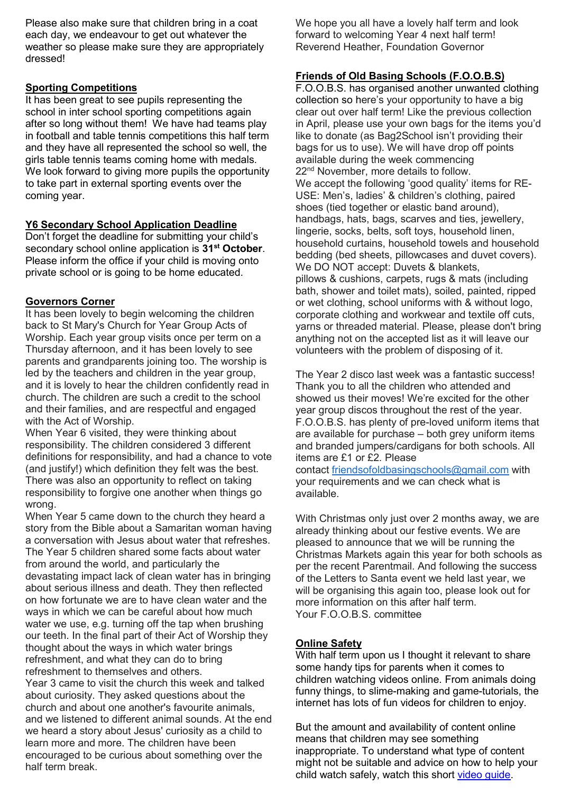Please also make sure that children bring in a coat each day, we endeavour to get out whatever the weather so please make sure they are appropriately dressed!

## Sporting Competitions

It has been great to see pupils representing the school in inter school sporting competitions again after so long without them! We have had teams play in football and table tennis competitions this half term and they have all represented the school so well, the girls table tennis teams coming home with medals. We look forward to giving more pupils the opportunity to take part in external sporting events over the coming year.

#### Y6 Secondary School Application Deadline

Don't forget the deadline for submitting your child's secondary school online application is 31<sup>st</sup> October. Please inform the office if your child is moving onto private school or is going to be home educated.

## Governors Corner

It has been lovely to begin welcoming the children back to St Mary's Church for Year Group Acts of Worship. Each year group visits once per term on a Thursday afternoon, and it has been lovely to see parents and grandparents joining too. The worship is led by the teachers and children in the year group, and it is lovely to hear the children confidently read in church. The children are such a credit to the school and their families, and are respectful and engaged with the Act of Worship.

When Year 6 visited, they were thinking about responsibility. The children considered 3 different definitions for responsibility, and had a chance to vote (and justify!) which definition they felt was the best. There was also an opportunity to reflect on taking responsibility to forgive one another when things go wrong.

When Year 5 came down to the church they heard a story from the Bible about a Samaritan woman having a conversation with Jesus about water that refreshes. The Year 5 children shared some facts about water from around the world, and particularly the devastating impact lack of clean water has in bringing about serious illness and death. They then reflected on how fortunate we are to have clean water and the ways in which we can be careful about how much water we use, e.g. turning off the tap when brushing our teeth. In the final part of their Act of Worship they thought about the ways in which water brings refreshment, and what they can do to bring refreshment to themselves and others. Year 3 came to visit the church this week and talked about curiosity. They asked questions about the church and about one another's favourite animals, and we listened to different animal sounds. At the end we heard a story about Jesus' curiosity as a child to learn more and more. The children have been encouraged to be curious about something over the half term break.

We hope you all have a lovely half term and look forward to welcoming Year 4 next half term! Reverend Heather, Foundation Governor

## Friends of Old Basing Schools (F.O.O.B.S)

F.O.O.B.S. has organised another unwanted clothing collection so here's your opportunity to have a big clear out over half term! Like the previous collection in April, please use your own bags for the items you'd like to donate (as Bag2School isn't providing their bags for us to use). We will have drop off points available during the week commencing 22<sup>nd</sup> November, more details to follow. We accept the following 'good quality' items for RE-USE: Men's, ladies' & children's clothing, paired shoes (tied together or elastic band around), handbags, hats, bags, scarves and ties, jewellery, lingerie, socks, belts, soft toys, household linen, household curtains, household towels and household bedding (bed sheets, pillowcases and duvet covers). We DO NOT accept: Duvets & blankets, pillows & cushions, carpets, rugs & mats (including bath, shower and toilet mats), soiled, painted, ripped or wet clothing, school uniforms with & without logo, corporate clothing and workwear and textile off cuts, yarns or threaded material. Please, please don't bring anything not on the accepted list as it will leave our volunteers with the problem of disposing of it.

The Year 2 disco last week was a fantastic success! Thank you to all the children who attended and showed us their moves! We're excited for the other year group discos throughout the rest of the year. F.O.O.B.S. has plenty of pre-loved uniform items that are available for purchase – both grey uniform items and branded jumpers/cardigans for both schools. All items are £1 or £2. Please contact friendsofoldbasingschools@gmail.com with your requirements and we can check what is available.

With Christmas only just over 2 months away, we are already thinking about our festive events. We are pleased to announce that we will be running the Christmas Markets again this year for both schools as per the recent Parentmail. And following the success of the Letters to Santa event we held last year, we will be organising this again too, please look out for more information on this after half term. Your F.O.O.B.S. committee

# Online Safety

With half term upon us I thought it relevant to share some handy tips for parents when it comes to children watching videos online. From animals doing funny things, to slime-making and game-tutorials, the internet has lots of fun videos for children to enjoy.

But the amount and availability of content online means that children may see something inappropriate. To understand what type of content might not be suitable and advice on how to help your child watch safely, watch this short video guide.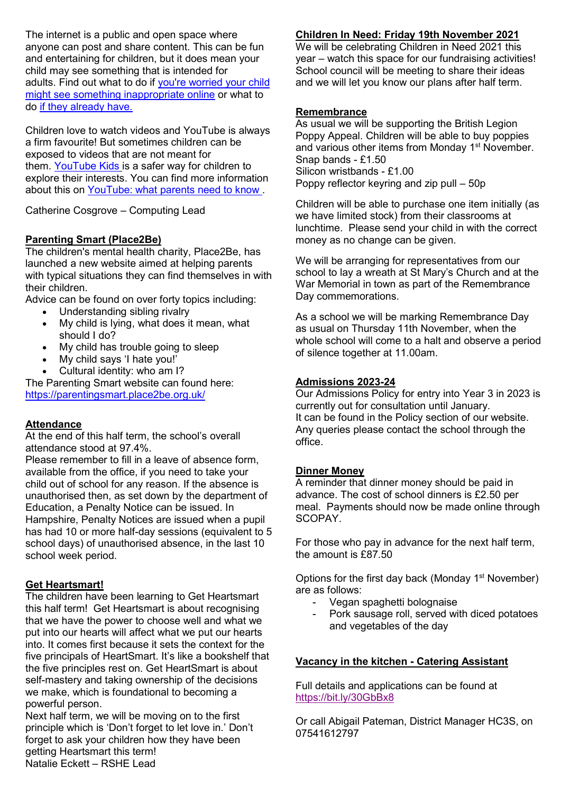The internet is a public and open space where anyone can post and share content. This can be fun and entertaining for children, but it does mean your child may see something that is intended for adults. Find out what to do if you're worried your child might see something inappropriate online or what to do if they already have.

Children love to watch videos and YouTube is always a firm favourite! But sometimes children can be exposed to videos that are not meant for them. YouTube Kids is a safer way for children to explore their interests. You can find more information about this on YouTube: what parents need to know .

Catherine Cosgrove – Computing Lead

#### Parenting Smart (Place2Be)

The children's mental health charity, Place2Be, has launched a new website aimed at helping parents with typical situations they can find themselves in with their children.

Advice can be found on over forty topics including:

- Understanding sibling rivalry
- My child is lying, what does it mean, what should I do?
- My child has trouble going to sleep
- My child says 'I hate you!'
- Cultural identity: who am I?

The Parenting Smart website can found here: https://parentingsmart.place2be.org.uk/

#### **Attendance**

At the end of this half term, the school's overall attendance stood at 97.4%.

Please remember to fill in a leave of absence form, available from the office, if you need to take your child out of school for any reason. If the absence is unauthorised then, as set down by the department of Education, a Penalty Notice can be issued. In Hampshire, Penalty Notices are issued when a pupil has had 10 or more half-day sessions (equivalent to 5 school days) of unauthorised absence, in the last 10 school week period.

#### Get Heartsmart!

The children have been learning to Get Heartsmart this half term! Get Heartsmart is about recognising that we have the power to choose well and what we put into our hearts will affect what we put our hearts into. It comes first because it sets the context for the five principals of HeartSmart. It's like a bookshelf that the five principles rest on. Get HeartSmart is about self-mastery and taking ownership of the decisions we make, which is foundational to becoming a powerful person.

Next half term, we will be moving on to the first principle which is 'Don't forget to let love in.' Don't forget to ask your children how they have been getting Heartsmart this term! Natalie Eckett – RSHE Lead

## Children In Need: Friday 19th November 2021

We will be celebrating Children in Need 2021 this year – watch this space for our fundraising activities! School council will be meeting to share their ideas and we will let you know our plans after half term.

#### Remembrance

As usual we will be supporting the British Legion Poppy Appeal. Children will be able to buy poppies and various other items from Monday 1<sup>st</sup> November. Snap bands - £1.50 Silicon wristbands - £1.00 Poppy reflector keyring and zip pull – 50p

Children will be able to purchase one item initially (as we have limited stock) from their classrooms at lunchtime. Please send your child in with the correct money as no change can be given.

We will be arranging for representatives from our school to lay a wreath at St Mary's Church and at the War Memorial in town as part of the Remembrance Day commemorations.

As a school we will be marking Remembrance Day as usual on Thursday 11th November, when the whole school will come to a halt and observe a period of silence together at 11.00am.

#### Admissions 2023-24

Our Admissions Policy for entry into Year 3 in 2023 is currently out for consultation until January. It can be found in the Policy section of our website. Any queries please contact the school through the office.

#### Dinner Money

A reminder that dinner money should be paid in advance. The cost of school dinners is £2.50 per meal. Payments should now be made online through SCOPAY.

For those who pay in advance for the next half term, the amount is £87.50

Options for the first day back (Monday  $1<sup>st</sup>$  November) are as follows:

- Vegan spaghetti bolognaise
- Pork sausage roll, served with diced potatoes and vegetables of the day

#### Vacancy in the kitchen - Catering Assistant

Full details and applications can be found at https://bit.ly/30GbBx8

Or call Abigail Pateman, District Manager HC3S, on 07541612797